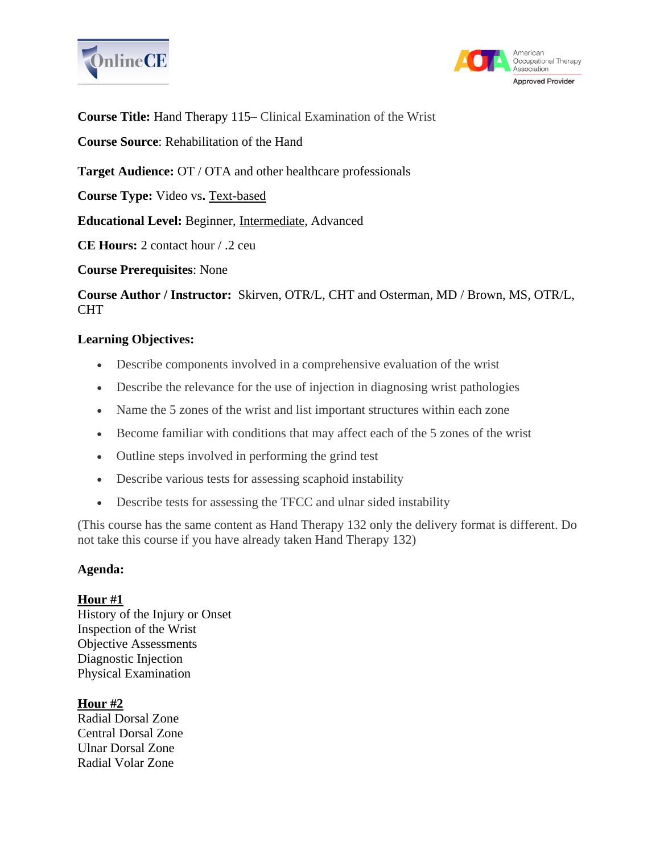



**Course Title:** Hand Therapy 115– Clinical Examination of the Wrist

**Course Source**: Rehabilitation of the Hand

**Target Audience:** OT / OTA and other healthcare professionals

**Course Type:** Video vs**.** Text-based

**Educational Level:** Beginner, Intermediate, Advanced

**CE Hours:** 2 contact hour / .2 ceu

**Course Prerequisites**: None

**Course Author / Instructor:** Skirven, OTR/L, CHT and Osterman, MD / Brown, MS, OTR/L, CHT

## **Learning Objectives:**

- Describe components involved in a comprehensive evaluation of the wrist
- Describe the relevance for the use of injection in diagnosing wrist pathologies
- Name the 5 zones of the wrist and list important structures within each zone
- Become familiar with conditions that may affect each of the 5 zones of the wrist
- Outline steps involved in performing the grind test
- Describe various tests for assessing scaphoid instability
- Describe tests for assessing the TFCC and ulnar sided instability

(This course has the same content as Hand Therapy 132 only the delivery format is different. Do not take this course if you have already taken Hand Therapy 132)

#### **Agenda:**

#### **Hour #1**

History of the Injury or Onset Inspection of the Wrist Objective Assessments Diagnostic Injection Physical Examination

#### **Hour #2**

Radial Dorsal Zone Central Dorsal Zone Ulnar Dorsal Zone Radial Volar Zone